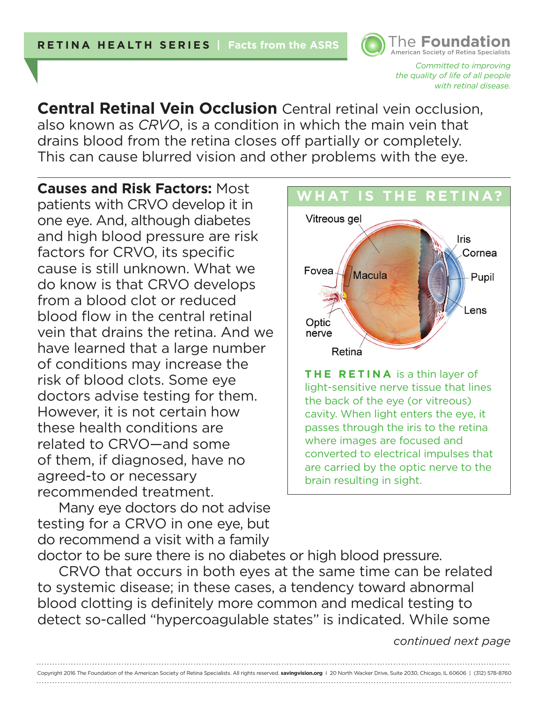*Committed to improving the quality of life of all people with retinal disease.* 

American Society of Retina Specialists **The Foundation** 

**Central Retinal Vein Occlusion** Central retinal vein occlusion, also known as *CRVO*, is a condition in which the main vein that drains blood from the retina closes off partially or completely. This can cause blurred vision and other problems with the eye.

**Causes and Risk Factors:** Most patients with CRVO develop it in one eye. And, although diabetes and high blood pressure are risk factors for CRVO, its specific cause is still unknown. What we do know is that CRVO develops from a blood clot or reduced blood flow in the central retinal vein that drains the retina. And we have learned that a large number of conditions may increase the risk of blood clots. Some eye doctors advise testing for them. However, it is not certain how these health conditions are related to CRVO—and some of them, if diagnosed, have no agreed-to or necessary recommended treatment.

Many eye doctors do not advise testing for a CRVO in one eye, but do recommend a visit with a family doctor to be sure there is no diabetes or high blood pressure.



CRVO that occurs in both eyes at the same time can be related to systemic disease; in these cases, a tendency toward abnormal blood clotting is definitely more common and medical testing to detect so-called "hypercoagulable states" is indicated. While some

Copyright 2016 The Foundation of the American Society of Retina Specialists. All rights reserved. **savingvision.org** I 20 North Wacker Drive, Suite 2030, Chicago, IL 60606 | (312) 578-8760

*continued next page*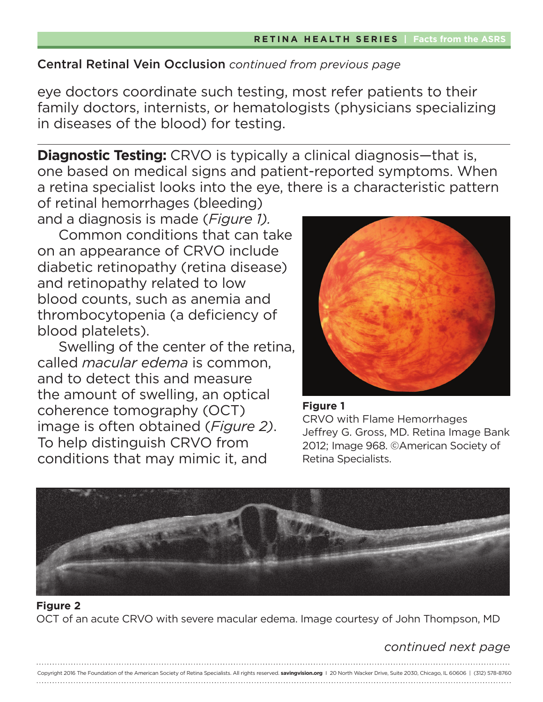## Central Retinal Vein Occlusion *continued from previous page*

eye doctors coordinate such testing, most refer patients to their family doctors, internists, or hematologists (physicians specializing in diseases of the blood) for testing.

**Diagnostic Testing:** CRVO is typically a clinical diagnosis—that is, one based on medical signs and patient-reported symptoms. When a retina specialist looks into the eye, there is a characteristic pattern of retinal hemorrhages (bleeding)

and a diagnosis is made (*Figure 1).* Common conditions that can take on an appearance of CRVO include diabetic retinopathy (retina disease) and retinopathy related to low blood counts, such as anemia and thrombocytopenia (a deficiency of blood platelets).

Swelling of the center of the retina, called *macular edema* is common, and to detect this and measure the amount of swelling, an optical coherence tomography (OCT) image is often obtained (*Figure 2)*. To help distinguish CRVO from conditions that may mimic it, and



#### **Figure 1**

CRVO with Flame Hemorrhages Jeffrey G. Gross, MD. Retina Image Bank 2012; Image 968. ©American Society of Retina Specialists.



### **Figure 2** OCT of an acute CRVO with severe macular edema. Image courtesy of John Thompson, MD

# *continued next page*

| Copyright 2016 The Foundation of the American Society of Retina Specialists. All rights reserved. savingvision.org   20 North Wacker Drive, Suite 2030, Chicago, IL 60606   (312) 578-8760 |
|--------------------------------------------------------------------------------------------------------------------------------------------------------------------------------------------|
|                                                                                                                                                                                            |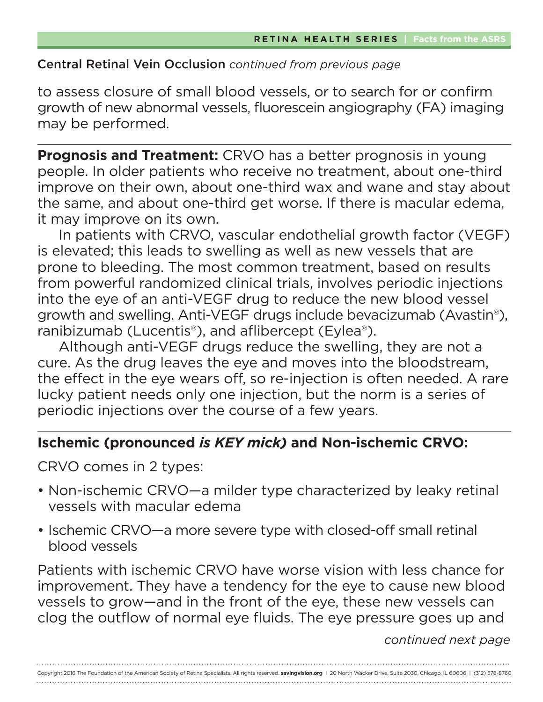## Central Retinal Vein Occlusion *continued from previous page*

to assess closure of small blood vessels, or to search for or confirm growth of new abnormal vessels, fluorescein angiography (FA) imaging may be performed.

**Prognosis and Treatment:** CRVO has a better prognosis in young people. In older patients who receive no treatment, about one-third improve on their own, about one-third wax and wane and stay about the same, and about one-third get worse. If there is macular edema, it may improve on its own.

In patients with CRVO, vascular endothelial growth factor (VEGF) is elevated; this leads to swelling as well as new vessels that are prone to bleeding. The most common treatment, based on results from powerful randomized clinical trials, involves periodic injections into the eye of an anti-VEGF drug to reduce the new blood vessel growth and swelling. Anti-VEGF drugs include bevacizumab (Avastin®), ranibizumab (Lucentis<sup>®</sup>), and aflibercept (Eylea<sup>®</sup>).

Although anti-VEGF drugs reduce the swelling, they are not a cure. As the drug leaves the eye and moves into the bloodstream, the effect in the eye wears off, so re-injection is often needed. A rare lucky patient needs only one injection, but the norm is a series of periodic injections over the course of a few years.

# **Ischemic (pronounced** *is KEY mick)* **and Non-ischemic CRVO:**

CRVO comes in 2 types:

- Non-ischemic CRVO—a milder type characterized by leaky retinal vessels with macular edema
- Ischemic CRVO—a more severe type with closed-off small retinal blood vessels

Patients with ischemic CRVO have worse vision with less chance for improvement. They have a tendency for the eye to cause new blood vessels to grow—and in the front of the eye, these new vessels can clog the outflow of normal eye fluids. The eye pressure goes up and

*continued next page*

Copyright 2016 The Foundation of the American Society of Retina Specialists. All rights reserved. **savingvision.org** I 20 North Wacker Drive, Suite 2030, Chicago, IL 60606 | (312) 578-8760